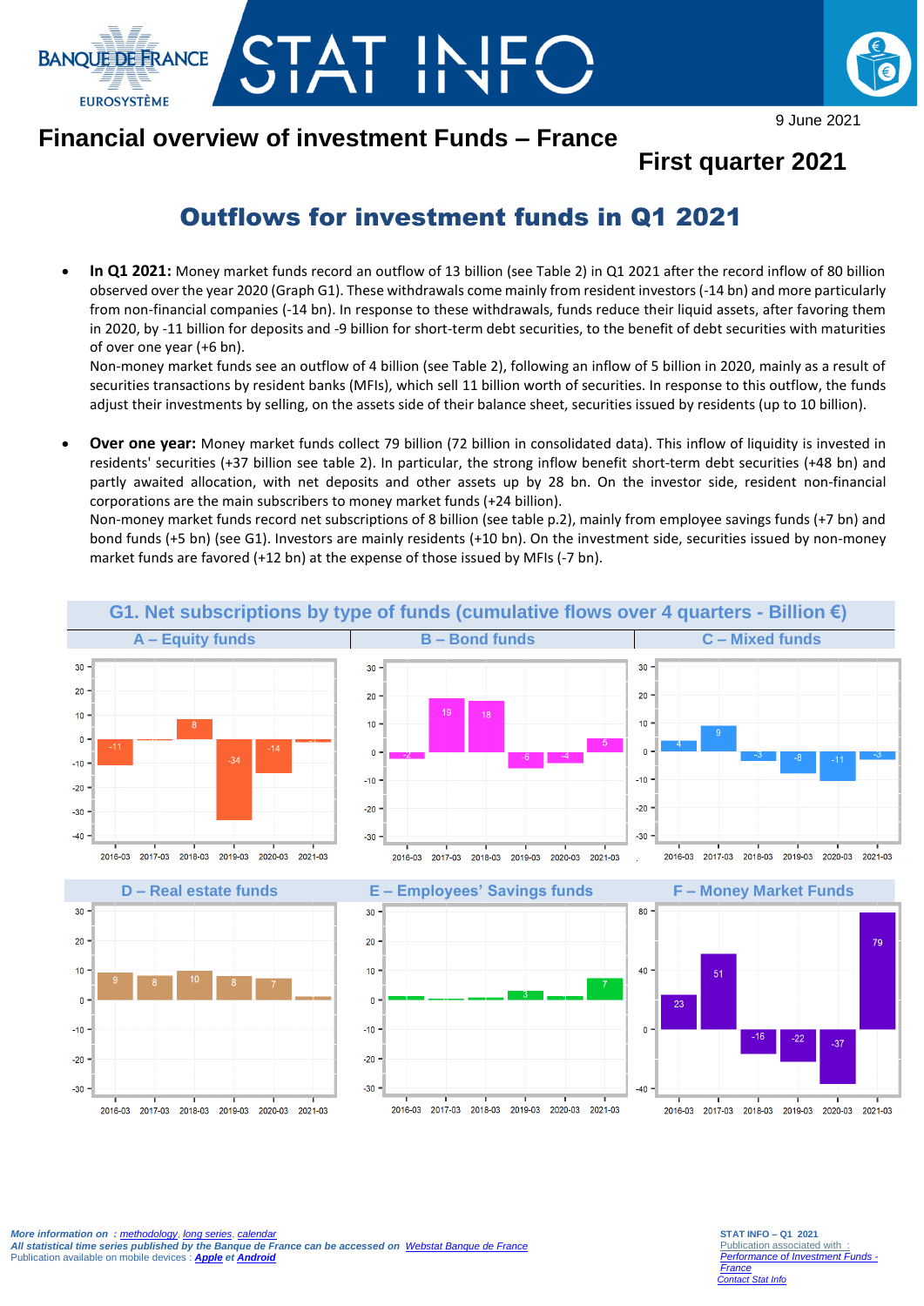



9 June 2021

## **Financial overview of investment Funds – France**

### **First quarter 2021**

# Outflows for investment funds in Q1 2021

 **In Q1 2021:** Money market funds record an outflow of 13 billion (see Table 2) in Q1 2021 after the record inflow of 80 billion observed over the year 2020 (Graph G1). These withdrawals come mainly from resident investors (-14 bn) and more particularly from non-financial companies (-14 bn). In response to these withdrawals, funds reduce their liquid assets, after favoring them in 2020, by -11 billion for deposits and -9 billion for short-term debt securities, to the benefit of debt securities with maturities of over one year (+6 bn).

Non-money market funds see an outflow of 4 billion (see Table 2), following an inflow of 5 billion in 2020, mainly as a result of securities transactions by resident banks (MFIs), which sell 11 billion worth of securities. In response to this outflow, the funds adjust their investments by selling, on the assets side of their balance sheet, securities issued by residents (up to 10 billion).

 **Over one year:** Money market funds collect 79 billion (72 billion in consolidated data). This inflow of liquidity is invested in residents' securities (+37 billion see table 2). In particular, the strong inflow benefit short-term debt securities (+48 bn) and partly awaited allocation, with net deposits and other assets up by 28 bn. On the investor side, resident non-financial corporations are the main subscribers to money market funds (+24 billion).

Non-money market funds record net subscriptions of 8 billion (see table p.2), mainly from employee savings funds (+7 bn) and bond funds (+5 bn) (see G1). Investors are mainly residents (+10 bn). On the investment side, securities issued by non-money market funds are favored (+12 bn) at the expense of those issued by MFIs (-7 bn).